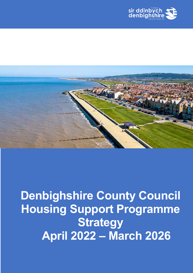



**Denbighshire County Council Housing Support Programme Strategy April 2022 – March 2026**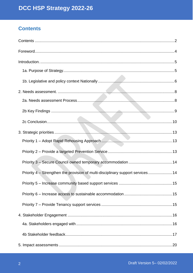## <span id="page-1-0"></span>**Contents**

| Priority 4 – Strengthen the provision of multi-disciplinary support services14 |
|--------------------------------------------------------------------------------|
|                                                                                |
|                                                                                |
|                                                                                |
|                                                                                |
|                                                                                |
|                                                                                |
|                                                                                |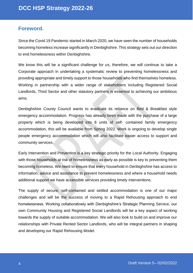### <span id="page-3-0"></span>**Foreword.**

Since the Covid 19 Pandemic started in March 2020, we have seen the number of households becoming homeless increase significantly in Denbighshire. This strategy sets out our direction to end homelessness within Denbighshire.

We know this will be a significant challenge for us, therefore, we will continue to take a Corporate approach in undertaking a systematic review to preventing homelessness and providing appropriate and timely support to those households who find themselves homeless. Working in partnership with a wider range of stakeholders including Registered Social Landlords, Third Sector and other statutory partners is essential to achieving our ambitious aims.

Denbighshire County Council wants to eradicate its reliance on Bed & Breakfast style emergency accommodation. Progress has already been made with the purchase of a large property which is being developed into 8 units of self- contained family emergency accommodation, this will be available from Spring 2022. Work is ongoing to develop single people emergency accommodation which will also facilitate easier access to support and community services.

Early Intervention and Prevention is a key strategic priority for the Local Authority. Engaging with those households at risk of homelessness as early as possible is key to preventing them becoming homeless. We need to ensure that every household in Denbighshire has access to information, advice and assistance to prevent homelessness and where a household needs additional support we have accessible services providing timely interventions.

The supply of secure, self-contained and settled accommodation is one of our major challenges and will be the success of moving to a Rapid Rehousing approach to end homelessness. Working collaboratively with Denbighshire's Strategic Planning Service, our own Community Housing and Registered Social Landlords will be a key aspect of working towards the supply of suitable accommodation. We will also look to build on and improve our relationships with Private Rented Sector Landlords, who will be integral partners in shaping and developing our Rapid Rehousing Model.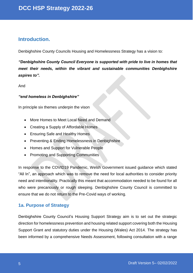### <span id="page-4-0"></span>**Introduction.**

Denbighshire County Councils Housing and Homelessness Strategy has a vision to:

*"Denbighshire County Council Everyone is supported with pride to live in homes that meet their needs, within the vibrant and sustainable communities Denbighshire aspires to".*

And

### *"end homeless in Denbighshire"*

In principle six themes underpin the vison

- More Homes to Meet Local Need and Demand
- Creating a Supply of Affordable Homes
- Ensuring Safe and Healthy Homes
- Preventing & Ending Homelessness in Denbighshire
- Homes and Support for Vulnerable People
- Promoting and Supporting Communities

In response to the COVID19 Pandemic, Welsh Government issued guidance which stated "All In", an approach which was to remove the need for local authorities to consider priority need and intentionality. Practically this meant that accommodation needed to be found for all who were precariously or rough sleeping. Denbighshire County Council is committed to ensure that we do not return to the Pre-Covid ways of working.

### <span id="page-4-1"></span>**1a. Purpose of Strategy**

Denbighshire County Council's Housing Support Strategy aim is to set out the strategic direction for homelessness prevention and housing related support covering both the Housing Support Grant and statutory duties under the Housing (Wales) Act 2014. The strategy has been informed by a comprehensive Needs Assessment, following consultation with a range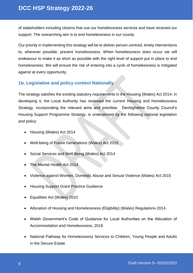of stakeholders including citizens that use our homelessness services and have received our support. The overarching aim is to end homelessness in our county.

Our priority in implementing this strategy will be to deliver person-centred, timely interventions to, wherever possible, prevent homelessness. When homelessness does occur we will endeavour to make it as short as possible with the right level of support put in place to end homelessness. We will ensure the risk of entering into a cycle of homelessness is mitigated against at every opportunity.

### <span id="page-5-0"></span>**1b. Legislative and policy context Nationally**

The strategy satisfies the existing statutory requirements in the Housing (Wales) Act 2014. In developing it, the Local Authority has reviewed the current Housing and Homelessness Strategy, incorporating the relevant aims and priorities. Denbighshire County Council's Housing Support Programme Strategy, is underpinned by the following national legislation and policy:

- Housing (Wales) Act 2014
- Well-being of Future Generations (Wales) Act 2015
- Social Services and Well-Being (Wales) Act 2014
- The Mental Health Act 2014
- Violence against Women, Domestic Abuse and Sexual Violence (Wales) Act 2015
- Housing Support Grant Practice Guidance
- Equalities Act (Wales) 2010
- Allocation of Housing and Homelessness (Eligibility) (Wales) Regulations 2014
- Welsh Government's Code of Guidance for Local Authorities on the Allocation of Accommodation and Homelessness, 2016
- National Pathway for Homelessness Services to Children, Young People and Adults in the Secure Estate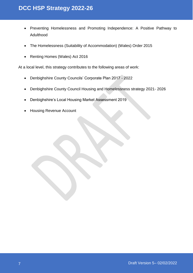- Preventing Homelessness and Promoting Independence: A Positive Pathway to Adulthood
- The Homelessness (Suitability of Accommodation) (Wales) Order 2015
- Renting Homes (Wales) Act 2016

At a local level, this strategy contributes to the following areas of work:

- Denbighshire County Councils' Corporate Plan 2017 2022
- Denbighshire County Council Housing and Homelessness strategy 2021- 2026
- Denbighshire's Local Housing Market Assessment 2019
- Housing Revenue Account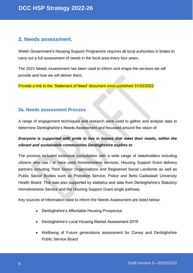### <span id="page-7-0"></span>**2. Needs assessment.**

Welsh Government's Housing Support Programme requires all local authorities in Wales to carry out a full assessment of needs in the local area every four years.

The 2021 Needs Assessment has been used to inform and shape the services we will provide and how we will deliver them.

Provide a link to the 'Statement of Need' document once published 31/03/2022

### <span id="page-7-1"></span>**2a. Needs assessment Process**

A range of engagement techniques and research were used to gather and analyse data to determine Denbighshire's Needs Assessment and focussed around the vision of:

### *Everyone is supported with pride to live in homes that meet their needs, within the vibrant and sustainable communities Denbighshire aspires to*

The process included extensive consultation with a wide range of stakeholders including citizens who use / or have used homelessness services, Housing Support Grant delivery partners including Third Sector Organisations and Registered Social Landlords as well as Public Sector Bodies such as Probation Service, Police and Betsi Cadwaladr University Health Board. This was also supported by statistics and data from Denbighshire's Statutory Homelessness Service and the Housing Support Grant single pathway.

Key sources of information used to inform the Needs Assessment are listed below:

- Denbighshire's Affordable Housing Prospectus
- Denbighshire's Local Housing Market Assessment 2019
- Wellbeing of Future generations assessment for Conwy and Denbighshire Public Service Board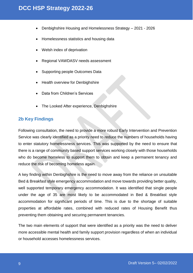- Denbighshire Housing and Homelessness Strategy 2021 2026
- Homelessness statistics and housing data
- Welsh index of deprivation
- Regional VAWDASV needs assessment
- Supporting people Outcomes Data
- Health overview for Denbighshire
- Data from Children's Services
- The Looked After experience, Denbighshire

### <span id="page-8-0"></span>**2b Key Findings**

Following consultation, the need to provide a more robust Early Intervention and Prevention Service was clearly identified as a priority need to reduce the numbers of households having to enter statutory homelessness services. This was supported by the need to ensure that there is a range of community based support services working closely with those households who do become homeless to support them to obtain and keep a permanent tenancy and reduce the risk of becoming homeless again.

A key finding within Denbighshire is the need to move away from the reliance on unsuitable Bed & Breakfast style emergency accommodation and move towards providing better quality, well supported temporary emergency accommodation. It was identified that single people under the age of 35 are most likely to be accommodated in Bed & Breakfast style accommodation for significant periods of time. This is due to the shortage of suitable properties at affordable rates, combined with reduced rates of Housing Benefit thus preventing them obtaining and securing permanent tenancies.

The two main elements of support that were identified as a priority was the need to deliver more accessible mental health and family support provision regardless of when an individual or household accesses homelessness services.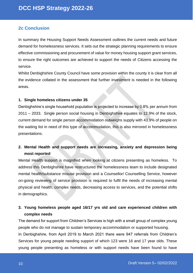### <span id="page-9-0"></span>**2c Conclusion**

In summary the Housing Support Needs Assessment outlines the current needs and future demand for homelessness services. It sets out the strategic planning requirements to ensure effective commissioning and procurement of value for money housing support grant services, to ensure the right outcomes are achieved to support the needs of Citizens accessing the service.

Whilst Denbighshire County Council have some provision within the county it is clear from all the evidence collated in the assessment that further investment is needed in the following areas.

### **1. Single homeless citizens under 35**

Denbighshire's single household population is projected to increase by 0.8% per annum from 2011 – 2033. Single person social housing in Denbighshire equates to 12.9% of the stock, current demand for single person accommodation outweighs supply with 43.9% of people on the waiting list in need of this type of accommodation, this is also mirrored in homelessness presentations.

### **2. Mental Health and support needs are increasing, anxiety and depression being most reported**

Mental Health support is magnified when looking at citizens presenting as homeless. To address this Denbighshire have restructured the homelessness team to include designated mental health/substance misuse provision and a Counsellor/ Counselling Service, however on-going reviewing of service provision is required to fulfil the needs of increasing mental physical and health, complex needs, decreasing access to services, and the potential shifts in demographics.

### **3. Young homeless people aged 16/17 yrs old and care experienced children with complex needs**

The demand for support from Children's Services is high with a small group of complex young people who do not manage to sustain temporary accommodation or supported housing. In Denbighshire, from April 2019 to March 2021 there were 947 referrals from Children's Services for young people needing support of which 123 were 16 and 17 year olds. These young people presenting as homeless or with support needs have been found to have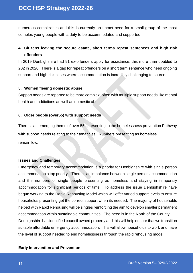numerous complexities and this is currently an unmet need for a small group of the most complex young people with a duty to be accommodated and supported.

### **4. Citizens leaving the secure estate, short terms repeat sentences and high risk offenders**

In 2019 Denbighshire had 91 ex-offenders apply for assistance, this more than doubled to 202 in 2020. There is a gap for repeat offenders on a short term sentence who need ongoing support and high risk cases where accommodation is incredibly challenging to source.

### **5. Women fleeing domestic abuse**

Support needs are reported to be more complex, often with multiple support needs like mental health and addictions as well as domestic abuse.

### **6. Older people (over55) with support needs**

There is an emerging theme of over 55s presenting to the homelessness prevention Pathway with support needs relating to their tenancies. Numbers presenting as homeless remain low.

### **Issues and Challenges**

Emergency and temporary accommodation is a priority for Denbighshire with single person accommodation a top priority. There is an imbalance between single person accommodation and the numbers of single people presenting as homeless and staying in temporary accommodation for significant periods of time. To address the issue Denbighshire have begun working to the Rapid Rehousing Model which will offer varied support levels to ensure households presenting get the correct support when its needed. The majority of households helped with Rapid Rehousing will be singles reinforcing the aim to develop smaller permanent accommodation within sustainable communities. The need is in the North of the County. Denbighshire has identified council owned property and this will help ensure that we transition suitable affordable emergency accommodation. This will allow households to work and have the level of support needed to end homelessness through the rapid rehousing model.

### **Early Intervention and Prevention**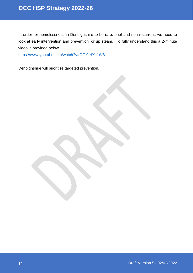In order for homelessness in Denbighshire to be rare, brief and non-recurrent, we need to look at early intervention and prevention, or up steam. To fully understand this a 2-minute video is provided below.

<https://www.youtube.com/watch?v=OGj0jHXk1W8>

Denbighshire will prioritise targeted prevention.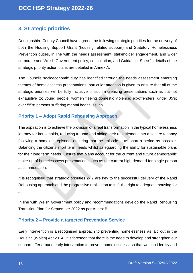### <span id="page-12-0"></span>**3. Strategic priorities**

Denbighshire County Council have agreed the following strategic priorities for the delivery of both the Housing Support Grant (housing related support) and Statutory Homelessness Prevention duties, in line with the needs assessment, stakeholder engagement, and wider corporate and Welsh Government policy, consultation, and Guidance. Specific details of the strategic priority action plans are detailed in Annex A.

The Councils socioeconomic duty has identified through the needs assessment emerging themes of homelessness presentations; particular attention is given to ensure that all of the strategic priorities will be fully inclusive of such increasing presentations such as but not exhaustive to; young people; women fleeing domestic violence; ex-offenders; under 35's; over 55's; persons suffering mental health issues.

### <span id="page-12-1"></span>**Priority 1 – Adopt Rapid Rehousing Approach**

The aspiration is to achieve the provision of a real transformation in the typical homelessness journey for households, reducing trauma and aiding their resettlement into a secure tenancy following a homeless episode, ensuring that the episode is as short a period as possible. Balancing the citizens short term needs whilst safeguarding the ability for sustainable plans for their long term needs. Ensure that plans account for the current and future demographic make-up of homelessness presentations such as the current high demand for single person accommodation.

It is recognised that strategic priorities 2- 7 are key to the successful delivery of the Rapid Rehousing approach and the progressive realisation to fulfil the right to adequate housing for all.

In line with Welsh Government policy and recommendations develop the Rapid Rehousing Transition Plan for September 2022 as per Annex B.

### <span id="page-12-2"></span>**Priority 2 – Provide a targeted Prevention Service**

Early intervention is a recognised approach to preventing homelessness as laid out in the Housing (Wales) Act 2014. It is foreseen that there is the need to develop and strengthen our support offer around early intervention to prevent homelessness, so that we can identify and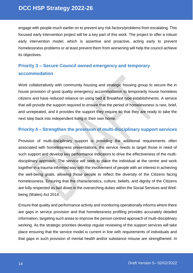engage with people much earlier on to prevent any risk factors/problems from escalating. This focused early intervention project will be a key part of this work. The project to offer a robust early intervention model, which is assertive and proactive, acting early to prevent homelessness problems or at least prevent them from worsening will help the council achieve its objectives.

### <span id="page-13-0"></span>**Priority 3 – Secure Council owned emergency and temporary accommodation**

Work collaboratively with community housing and strategic housing group to secure the in house provision of good quality emergency accommodation to temporarily house homeless citizens and have reduced reliance on using bed & Breakfast type establishments. A service that will provide the support required to ensure that the period of homelessness is rare, brief, and unrepeated, and it provides the support they require so that they are ready to take the next step back into independent living in their own home.

### <span id="page-13-1"></span>**Priority 4 – Strengthen the provision of multi-disciplinary support services**

Provision of multi-disciplinary support is providing the additional requirements often associated with homelessness presentations, the service needs to target those in need of such support and develop key performance indicators to drive the effectiveness of the multidisciplinary approach. The service will seek to place the individual at the centre and work together in a trauma informed way with the involvement of people with an interest in achieving the well-being goals, allowing those people to reflect the diversity of the Citizens facing homelessness. Ensuring that the characteristics, culture, beliefs, and dignity of the Citizens are fully respected as laid down in the overarching duties within the Social Services and Wellbeing (Wales) Act 2014.

Ensure that quality and performance activity and monitoring operationally informs where there are gaps in service provision and that homelessness profiling provides accurately detailed information, targeting such areas to improve the person centred approach of multi-disciplinary working. As the strategic priorities develop regular reviewing of the support services will take place ensuring that the service model is current in line with requirements of individuals and that gaps in such provision of mental health and/or substance misuse are strengthened. In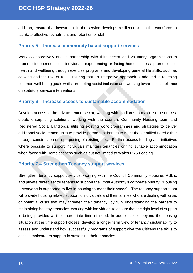addition, ensure that investment in the service develops resilience within the workforce to facilitate effective recruitment and retention of staff.

### <span id="page-14-0"></span>**Priority 5 – Increase community based support services**

Work collaboratively and in partnership with third sector and voluntary organisations to promote independence to individuals experiencing or facing homelessness, promote their health and wellbeing through exercise programs and developing general life skills, such as cooking and the use of ICT. Ensuring that an integrative approach is adopted in reaching common well-being goals whilst promoting social inclusion and working towards less reliance on statutory service interventions.

### <span id="page-14-1"></span>**Priority 6 – Increase access to sustainable accommodation**

Develop access to the private rented sector, working with landlords to maximise resources, create enterprising solutions, working with the councils Community Housing team and Registered Social Landlords, utilising existing work programmes and strategies to deliver additional social rented units to provide permanent homes to meet the identified need either through construction or repurposing of existing stock. Further access funding and initiatives where possible to support individuals maintain tenancies or find suitable accommodation when faced with Homelessness such as but not limited to Wales PRS Leasing.

### <span id="page-14-2"></span>**Priority 7 – Strengthen Tenancy support services**

<span id="page-14-3"></span>Strengthen tenancy support service, working with the Council Community Housing, RSL's, and private rented sector tenants to support the Local Authority's corporate priority: "Housing – everyone is supported to live in housing to meet their needs". The tenancy support team will provide housing related support to individuals and their families who are dealing with crisis or potential crisis that may threaten their tenancy, by fully understanding the barriers to maintaining healthy tenancies, working with individuals to ensure that the right level of support is being provided at the appropriate time of need. In addition, look beyond the housing situation at the time support closes, develop a longer term view of tenancy sustainability to assess and understand how successfully programs of support give the Citizens the skills to access mainstream support in sustaining their tenancies.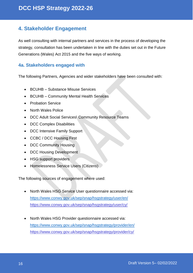### **4. Stakeholder Engagement**

As well consulting with internal partners and services in the process of developing the strategy, consultation has been undertaken in line with the duties set out in the Future Generations (Wales) Act 2015 and the five ways of working.

### <span id="page-15-0"></span>**4a. Stakeholders engaged with**

The following Partners, Agencies and wider stakeholders have been consulted with:

- BCUHB Substance Misuse Services
- BCUHB Community Mental Health Services
- Probation Service
- North Wales Police
- DCC Adult Social Services\ Community Resource Teams
- DCC Complex Disabilities
- DCC Intensive Family Support
- CCBC / DCC Housing First
- DCC Community Housing
- DCC Housing Development
- HSG support providers
- **Homelessness Service Users (Citizens)**

The following sources of engagement where used:

- North Wales HSG Service User questionnaire accessed via: <https://www.conwy.gov.uk/sep/snap/hsgstrategy/user/en/> <https://www.conwy.gov.uk/sep/snap/hsgstrategy/user/cy/>
- North Wales HSG Provider questionnaire accessed via: <https://www.conwy.gov.uk/sep/snap/hsgstrategy/provider/en/> <https://www.conwy.gov.uk/sep/snap/hsgstrategy/provider/cy/>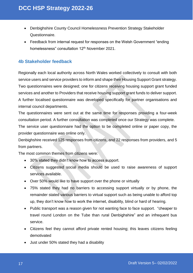- Denbighshire County Council Homelessness Prevention Strategy Stakeholder Questionnaire.
- Feedback from internal request for responses on the Welsh Government "ending homelessness" consultation 12<sup>th</sup> November 2021.

### <span id="page-16-0"></span>**4b Stakeholder feedback**

Regionally each local authority across North Wales worked collectively to consult with both service users and service providers to inform and shape their Housing Support Grant strategy. Two questionnaires were designed; one for citizens receiving housing support grant funded services and another to Providers that receive housing support grant funds to deliver support. A further localised questionnaire was developed specifically for partner organisations and internal council departments.

The questionnaires were sent out at the same time for responses providing a four-week consultation period. A further consultation was completed once our Strategy was complete.

The service user questionnaire had the option to be completed online or paper copy, the provider questionnaire was online only.

Denbighshire received 125 responses from citizens, and 22 responses from providers, and 5 from partners.

The most common themes from citizens were:

- 30% stated they didn't know how to access support.
- Citizens suggested social media should be used to raise awareness of support services available.
- Over 50% would like to have support over the phone or virtually
- 75% stated they had no barriers to accessing support virtually or by phone, the remainder stated various barriers to virtual support such as being unable to afford top up, they don't know how to work the internet, disability, blind or hard of hearing.
- Public transport was a reason given for not wanting face to face support. "cheaper to travel round London on the Tube than rural Denbighshire" and an infrequent bus service.
- Citizens feel they cannot afford private rented housing; this leaves citizens feeling demotivated
- Just under 50% stated they had a disability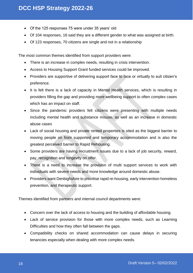- Of the 125 responses 75 were under 35 years' old
- Of 104 responses, 16 said they are a different gender to what was assigned at birth.
- Of 123 responses, 70 citizens are single and not in a relationship

The most common themes identified from support providers were:

- There is an increase in complex needs, resulting in crisis intervention.
- Access to Housing Support Grant funded services could be improved.
- Providers are supportive of delivering support face to face or virtually to suit citizen's preference.
- It is felt there is a lack of capacity in Mental Health services, which is resulting in providers filling the gap and providing more wellbeing support to often complex cases which has an impact on staff.
- Since the pandemic providers felt citizens were presenting with multiple needs including mental health and substance misuse, as well as an increase in domestic abuse cases
- Lack of social housing and private rented properties is sited as the biggest barrier to moving people on from supported and temporary accommodation and is also the greatest perceived barrier to Rapid Rehousing.
- Some providers are having recruitment issues due to a lack of job security, reward, pay, recognition and longevity on offer.
- There is a need to increase the provision of multi support services to work with individuals with severe needs and more knowledge around domestic abuse.
- Providers want Denbighshire to prioritise rapid re-housing, early intervention homeless prevention, and therapeutic support.

Themes identified from partners and internal council departments were:

- Concern over the lack of access to housing and the building of affordable housing.
- Lack of service provision for those with more complex needs, such as Learning Difficulties and how they often fall between the gaps.
- Compatibility checks on shared accommodation can cause delays in securing tenancies especially when dealing with more complex needs.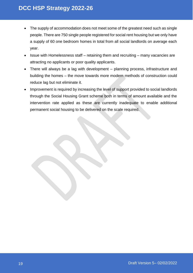- The supply of accommodation does not meet some of the greatest need such as single people. There are 750 single people registered for social rent housing but we only have a supply of 60 one bedroom homes in total from all social landlords on average each year.
- Issue with Homelessness staff retaining them and recruiting many vacancies are attracting no applicants or poor quality applicants.
- There will always be a lag with development planning process, infrastructure and building the homes – the move towards more modern methods of construction could reduce lag but not eliminate it.
- Improvement is required by increasing the level of support provided to social landlords through the Social Housing Grant scheme both in terms of amount available and the intervention rate applied as these are currently inadequate to enable additional permanent social housing to be delivered on the scale required.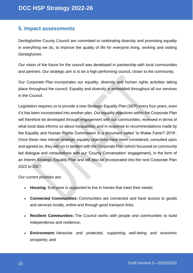### <span id="page-19-0"></span>**5. Impact assessments**

Denbighshire County Council are committed to celebrating diversity and promoting equality in everything we do, to improve the quality of life for everyone living, working and visiting Denbighshire.

Our vision of the future for the council was developed in partnership with local communities and partners. Our strategic aim is to be a high performing council, closer to the community.

[Our Corporate Plan](https://www.denbighshire.gov.uk/en/your-council/strategies-plans-and-policies/plans/corporate-plan/corporate-plan.aspx) incorporates our equality, diversity and human rights activities taking place throughout the council. Equality and diversity is embedded throughout all our services in the Council.

Legislation requires us to provide a new Strategic Equality Plan (SEP) every four years, even if it has been incorporated into another plan. Our equality objectives within the Corporate Plan will therefore be developed through engagement with our communities; reviewed in terms of what local data informs us about inequalities; and in response to recommendations made by the Equality and Human Rights Commission in a document called 'Is Wales Fairer? 2018'. Once these new interim strategic equality objectives have been considered, consulted upon and agreed on, they will run in tandem with the Corporate Plan (which focussed on community led dialogue and consultations with our 'County Conversation' engagement), in the form of an Interim Strategic Equality Plan and will also be incorporated into the next Corporate Plan 2022 to 2027.

Our current priorities are:

- **Housing**: Everyone is supported to live in homes that meet their needs;
- **Connected Communities:** Communities are connected and have access to goods and services locally, online and through good transport links;
- **Resilient Communities:** The Council works with people and communities to build independence and resilience;
- **Environment:** Attractive and protected, supporting well-being and economic prosperity; and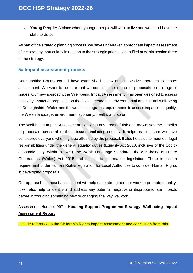**Young People:** A place where younger people will want to live and work and have the skills to do so.

As part of the strategic planning process, we have undertaken appropriate impact assessment of the strategy, particularly in relation to the strategic priorities identified at within section three of the strategy.

### <span id="page-20-0"></span>**5a Impact assessment process**

Denbighshire County council have established a new and innovative approach to impact assessment. We want to be sure that we consider the impact of proposals on a range of issues. Our new approach, the 'Well-being Impact Assessment', has been designed to assess the likely impact of proposals on the social, economic, environmental and cultural well-being of Denbighshire, Wales and the world. It integrates requirements to assess impact on equality, the Welsh language, environment, economy, health, and so on.

The Well-being Impact Assessment highlights any areas of risk and maximises the benefits of proposals across all of these issues, including equality. It helps us to ensure we have considered everyone who might be affected by the proposal. It also helps us to meet our legal responsibilities under the general equality duties (Equality Act 2010, inclusive of the Socioeconomic Duty, within this Act), the Welsh Language Standards, the Well-being of Future Generations (Wales) Act 2015 and access to information legislation. There is also a requirement under Human Rights legislation for Local Authorities to consider Human Rights in developing proposals.

Our approach to impact assessment will help us to strengthen our work to promote equality. It will also help to identify and address any potential negative or disproportionate impacts before introducing something new or changing the way we work.

### Assessment Number 997 - **Housing Support Programme Strategy, Well-being Impact Assessment Report**

Include reference to the Children's Rights Impact Assessment and conclusion from this.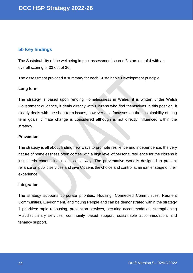### <span id="page-21-0"></span>**5b Key findings**

The Sustainability of the wellbeing impact assessment scored 3 stars out of 4 with an overall scoring of 33 out of 36.

The assessment provided a summary for each Sustainable Development principle:

#### **Long term**

The strategy is based upon "ending Homelessness in Wales" it is written under Welsh Government guidance, it deals directly with Citizens who find themselves in this position, it clearly deals with the short term issues, however also focusses on the sustainability of long term goals, climate change is considered although is not directly influenced within the strategy.

#### **Prevention**

The strategy is all about finding new ways to promote resilience and independence, the very nature of homelessness often comes with a high level of personal resilience for the citizens it just needs channelling in a positive way. The preventative work is designed to prevent reliance on public services and give Citizens the choice and control at an earlier stage of their experience.

#### **Integration**

The strategy supports corporate priorities, Housing, Connected Communities, Resilient Communities, Environment, and Young People and can be demonstrated within the strategy 7 priorities: rapid rehousing, prevention services, securing accommodation, strengthening Multidisciplinary services, community based support, sustainable accommodation, and tenancy support.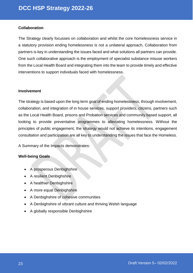### **Collaboration**

The Strategy clearly focusses on collaboration and whilst the core homelessness service in a statutory provision ending homelessness is not a unilateral approach, Collaboration from partners is key in understanding the issues faced and what solutions all partners can provide. One such collaborative approach is the employment of specialist substance misuse workers from the Local Health Board and integrating them into the team to provide timely and effective interventions to support individuals faced with homelessness.

#### **Involvement**

The strategy is based upon the long term goal of ending homelessness, through involvement, collaboration, and integration of in house services, support providers, citizens, partners such as the Local Health Board, prisons and Probation services and community based support, all looking to provide preventative programmes to alleviating homelessness. Without the principles of public engagement, the strategy would not achieve its intentions, engagement consultation and participation are all key to understanding the issues that face the Homeless.

A Summary of the Impacts demonstrates:

### **Well-being Goals**

- A prosperous Denbighshire
- A resilient Denbighshire
- A healthier Denbighshire
- A more equal Denbighshire
- A Denbighshire of cohesive communities
- A Denbighshire of vibrant culture and thriving Welsh language
- A globally responsible Denbighshire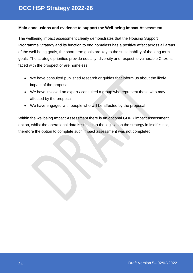### **Main conclusions and evidence to support the Well-being Impact Assessment**

The wellbeing impact assessment clearly demonstrates that the Housing Support Programme Strategy and its function to end homeless has a positive affect across all areas of the well-being goals, the short term goals are key to the sustainability of the long term goals. The strategic priorities provide equality, diversity and respect to vulnerable Citizens faced with the prospect or are homeless.

- We have consulted published research or guides that inform us about the likely impact of the proposal
- We have involved an expert / consulted a group who represent those who may affected by the proposal
- We have engaged with people who will be affected by the proposal

Within the wellbeing Impact Assessment there is an optional GDPR impact assessment option, whilst the operational data is subject to the legislation the strategy in itself is not, therefore the option to complete such impact assessment was not completed.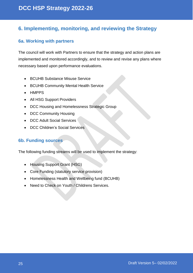### <span id="page-24-0"></span>**6. Implementing, monitoring, and reviewing the Strategy**

### <span id="page-24-1"></span>**6a. Working with partners**

The council will work with Partners to ensure that the strategy and action plans are implemented and monitored accordingly, and to review and revise any plans where necessary based upon performance evaluations.

- BCUHB Substance Misuse Service
- BCUHB Community Mental Health Service
- HMPPS
- All HSG Support Providers
- DCC Housing and Homelessness Strategic Group
- DCC Community Housing
- DCC Adult Social Services
- DCC Children's Social Services

### <span id="page-24-2"></span>**6b. Funding sources**

The following funding streams will be used to implement the strategy:

- Housing Support Grant (HSG)
- Core Funding (statutory service provision)
- Homelessness Health and Wellbeing fund (BCUHB)
- Need to Check on Youth / Childrens Services.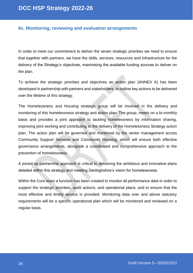### <span id="page-25-0"></span>**6c. Monitoring, reviewing and evaluation arrangements**

In order to meet our commitment to deliver the seven strategic priorities we need to ensure that together with partners, we have the skills, services, resources and infrastructure for the delivery of the Strategy's objectives, maximising the available funding sources to deliver on the plan.

To achieve the strategic priorities and objectives an action plan (ANNEX A) has been developed in partnership with partners and stakeholders, to outline key actions to be delivered over the lifetime of this strategy.

The Homelessness and Housing strategic group will be involved in the delivery and monitoring of this homelessness strategy and action plan. The group, meets on a bi-monthly basis and provides a joint approach to tackling homelessness by information sharing, improving joint working and contributing to the delivery of the Homelessness Strategy action plan. The action plan will be governed and monitored by the senior management across Community Support Services and Community Housing, which will ensure both effective governance arrangements, alongside a coordinated and comprehensive approach to the prevention of homelessness.

A joined up partnership approach is critical to delivering the ambitious and innovative plans detailed within this strategy and meeting Denbighshire's vision for homelessness.

Within the Core team a function has been created to monitor all performance data in order to support the strategic priorities, audit actions, and operational plans, and to ensure that the most effective and timely service is provided. Monitoring data over and above statutory requirements will be a specific operational plan which will be monitored and reviewed on a regular basis.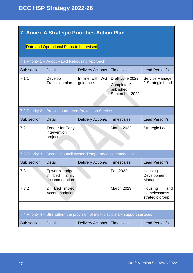## <span id="page-26-0"></span>**7. Annex A Strategic Priorities Action Plan**

### Date and Operational Plans to be revised

| 7.1 Priority 1 – Adopt Rapid Rehousing Approach                                  |                                                               |                                                        |                                                              |                                                   |
|----------------------------------------------------------------------------------|---------------------------------------------------------------|--------------------------------------------------------|--------------------------------------------------------------|---------------------------------------------------|
| Sub section                                                                      | <b>Detail</b>                                                 | <b>Delivery Action/s</b>                               | <b>Timescales</b>                                            | Lead Person/s                                     |
| 7.1.1                                                                            | Develop<br><b>Transition plan</b>                             | In line with WG<br>guidance.                           | Draft June 2022<br>Completed/<br>published<br>September 2022 | Service Manager<br>/ Strategic Lead               |
|                                                                                  |                                                               |                                                        |                                                              |                                                   |
|                                                                                  |                                                               | 7.2 Priority 2 - Provide a targeted Prevention Service |                                                              |                                                   |
| Sub section                                                                      | <b>Detail</b>                                                 | <b>Delivery Action/s</b>                               | <b>Timescales</b>                                            | Lead Person/s                                     |
| 7.2.1                                                                            | <b>Tender for Early</b><br>intervention<br>project            |                                                        | <b>March 2022</b>                                            | <b>Strategic Lead</b>                             |
|                                                                                  |                                                               |                                                        |                                                              |                                                   |
|                                                                                  | 7.3 Priority 3 - Secure Council owned Temporary accommodation |                                                        |                                                              |                                                   |
| Sub section                                                                      | <b>Detail</b>                                                 | <b>Delivery Action/s</b>                               | <b>Timescales</b>                                            | Lead Person/s                                     |
| 7.3.1                                                                            | Epworth Lodge,<br>family<br>bed<br>8<br>accommodation         |                                                        | Feb 2022                                                     | Housing<br>Development<br>Manager                 |
| 7.3.2                                                                            | 24 Bed mixed<br>Accommodation                                 |                                                        | <b>March 2023</b>                                            | Housing<br>and<br>Homelessness<br>strategic group |
|                                                                                  |                                                               |                                                        |                                                              |                                                   |
| 7.4 Priority 4 – Strengthen the provision of multi-disciplinary support services |                                                               |                                                        |                                                              |                                                   |
| Sub section                                                                      | <b>Detail</b>                                                 | <b>Delivery Action/s</b>                               | <b>Timescales</b>                                            | Lead Person/s                                     |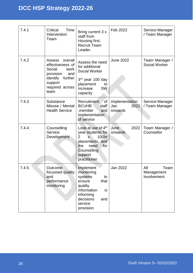| 7.4.1 | Time<br>Critical<br>Intervention<br>Team                                                                                                        | Bring current 3 x<br>staff from<br>Housing first.<br><b>Recruit Team</b><br>Leader.                                                                                                          | Feb 2022                                 | Service Manager<br>/ Team Manager        |
|-------|-------------------------------------------------------------------------------------------------------------------------------------------------|----------------------------------------------------------------------------------------------------------------------------------------------------------------------------------------------|------------------------------------------|------------------------------------------|
| 7.4.2 | <b>Assess</b><br>overall<br>effectiveness of<br>Social<br>work<br>provision<br>and<br>further<br>identify<br>support<br>required across<br>team | Assess the need<br>for additional<br>Social Worker<br>3rd year 100 day<br>placement<br>to<br><b>SW</b><br>increase<br>capacity                                                               | <b>June 2022</b>                         | Team Manager /<br><b>Social Worker</b>   |
| 7.4.3 | Substance<br>Misuse / Mental<br><b>Health Service</b>                                                                                           | Recruitment<br>of<br><b>BCUHB</b><br>staff<br>, member<br>and<br>implementation<br>of service                                                                                                | Implementation<br>Jan<br>2022<br>onwards | Service Manager<br>/ Team Manager        |
| 7.4.4 | Counselling<br>Service<br>Development                                                                                                           | Look at use of 4 <sup>th</sup><br>year students for<br>$\overline{2}$<br>100hr<br>$\overline{\mathsf{x}}$<br>placements, and<br>for<br>need<br>the<br>Counselling<br>support<br>practitioner | June<br>2022<br>onwards                  | Team Manager /<br>Counsellor             |
| 7.4.5 | Outcome<br>focussed quality<br>and<br>performance<br>monitoring                                                                                 | Implement<br>monitoring<br>systems<br>to<br>that<br>ensure<br>quality<br>information<br>is<br>informing<br>decisions<br>and<br>service<br>provision.                                         | Jan 2022                                 | All<br>Team<br>Management<br>Involvement |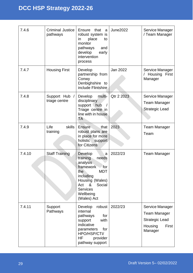| 7.4.6  | <b>Criminal Justice</b><br>pathways | Ensure<br>that<br>a<br>robust system is<br>place<br>in<br>to<br>monitor<br>pathways<br>and<br>develop<br>early<br>intervention<br>process                                                   | <b>June2022</b> | Service Manager<br>/ Team Manager                                                              |
|--------|-------------------------------------|---------------------------------------------------------------------------------------------------------------------------------------------------------------------------------------------|-----------------|------------------------------------------------------------------------------------------------|
| 7.4.7  | <b>Housing First</b>                | Develop<br>partnership from<br>Conwy<br>Denbighshire to<br>include Flintshire                                                                                                               | Jan 2022        | Service Manager<br>/ Housing<br>First<br>Manager                                               |
| 7.4.8  | Support Hub /<br>triage centre      | multi-<br>Develop<br>disciplinary<br>support hub<br>$\prime$<br>Triage centre in<br>line with in house<br>TA                                                                                | Qtr 2 2023      | Service Manager<br><b>Team Manager</b><br><b>Strategic Lead</b>                                |
| 7.4.9  | skills<br>Life<br>training          | <b>Ensure</b><br>that<br>robust plans are<br>in place for more<br>holistic<br>support<br>for Citizens                                                                                       | 2023            | <b>Team Manager</b><br>Team                                                                    |
| 7.4.10 | <b>Staff Training</b>               | Develop<br>a<br>training<br>needs<br>analysis<br>framework<br>for<br><b>MDT</b><br>the<br>including<br>Housing (Wales)<br>Act<br>&<br>Social<br><b>Services</b><br>Wellbeing<br>(Wales) Act | 2022/23         | <b>Team Manager</b>                                                                            |
| 7.4.11 | Support<br>Pathways                 | robust<br>Develop<br>internal<br>pathways<br>for<br>with<br>support<br>indicative<br>parameters<br>for<br>HPO/HSP/CTI/<br>ΗF<br>provider<br>pathway support                                 | 2022/23         | Service Manager<br><b>Team Manager</b><br><b>Strategic Lead</b><br>Housing<br>First<br>Manager |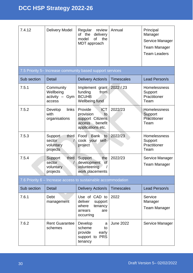| 7.4.12                                                        | <b>Delivery Model</b>                               | Regular<br>review<br>of the<br>delivery<br>model<br>of<br>the<br>MDT approach                          | Annual            | Principal<br>Manager<br>Service Manager<br><b>Team Manager</b><br><b>Team Leaders</b> |
|---------------------------------------------------------------|-----------------------------------------------------|--------------------------------------------------------------------------------------------------------|-------------------|---------------------------------------------------------------------------------------|
|                                                               |                                                     | 7.5 Priority 5- Increase community based support services                                              |                   |                                                                                       |
| Sub section                                                   | <b>Detail</b>                                       | <b>Delivery Action/s</b>                                                                               | <b>Timescales</b> | Lead Person/s                                                                         |
| 7.5.1                                                         | Community<br>Wellbeing<br>activity - Gym<br>access  | Implement grant<br>funding<br>from<br><b>BCUHB</b><br>Wellbeing fund                                   | 2022/23           | Homelessness<br>Support<br>Practitioner<br>Team                                       |
| 7.5.2                                                         | links<br>Develop<br>with<br>organisations           | <b>ICT</b><br>Provide<br>provision<br>to<br>support Citizens<br>benefit<br>access<br>applications etc. | 2022/23           | Homelessness<br>Support<br>Practitioner<br>Team                                       |
| 7.5.3                                                         | third<br>Support<br>sector<br>voluntary<br>projects | Food<br><b>Bank</b><br>to<br>cook your self-<br>project                                                | 2022/23           | <b>Homelessness</b><br>Support<br>Practitioner<br>Team                                |
| 7.5.4                                                         | third<br>Support<br>sector<br>voluntary<br>projects | Support<br>the<br>development<br>of<br>volunteering<br>work placements                                 | 2022/23           | Service Manager<br><b>Team Manager</b>                                                |
| 7.6 Priority 6 – Increase access to sustainable accommodation |                                                     |                                                                                                        |                   |                                                                                       |
| Sub section                                                   | <b>Detail</b>                                       | <b>Delivery Action/s</b>                                                                               | <b>Timescales</b> | Lead Person/s                                                                         |
| 7.6.1                                                         | Debt<br>management                                  | Use of CAD to<br>deliver<br>support<br>where<br>tenancy<br>arrears<br>are<br>occurring                 | 2022              | Service<br>Manager<br><b>Team Manager</b>                                             |
| 7.6.2                                                         | <b>Rent Guarantee</b><br>schemes                    | Develop<br>a<br>scheme<br>to<br>provide<br>early<br><b>PRS</b><br>support to<br>tenancy                | <b>June 2022</b>  | Service Manager                                                                       |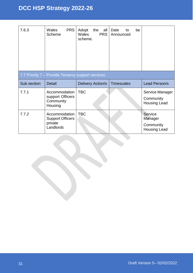| 7.6.3                                             | <b>PRS</b><br>Wales<br>Scheme                             | Adopt<br>the<br>all<br><b>PRS</b><br>Wales<br>scheme. | Date<br>be<br>to<br>Announced |                                                     |
|---------------------------------------------------|-----------------------------------------------------------|-------------------------------------------------------|-------------------------------|-----------------------------------------------------|
| 7.7 Priority 7 - Provide Tenancy support services |                                                           |                                                       |                               |                                                     |
|                                                   |                                                           |                                                       |                               |                                                     |
| Sub section                                       | <b>Detail</b>                                             | Delivery Action/s                                     | <b>Timescales</b>             | Lead Person/s                                       |
| 7.7.1                                             | Accommodation<br>support Officers<br>Community<br>Housing | <b>TBC</b>                                            |                               | Service Manager<br>Community<br><b>Housing Lead</b> |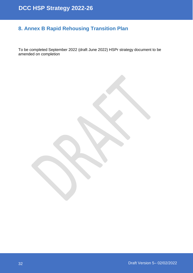### <span id="page-31-0"></span>**8. Annex B Rapid Rehousing Transition Plan**

To be completed September 2022 (draft June 2022) HSPr strategy document to be amended on completion